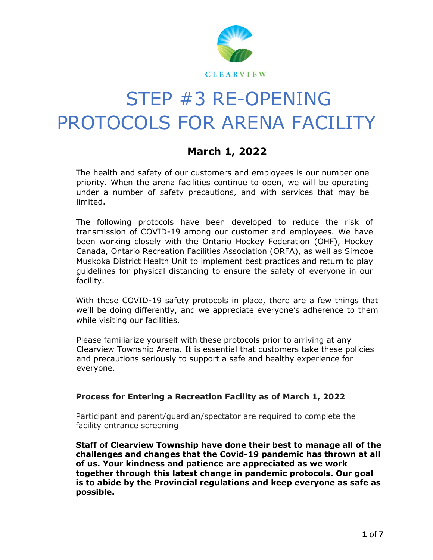

# STEP #3 RE-OPENING PROTOCOLS FOR ARENA FACILITY

# **March 1, 2022**

The health and safety of our customers and employees is our number one priority. When the arena facilities continue to open, we will be operating under a number of safety precautions, and with services that may be limited.

The following protocols have been developed to reduce the risk of transmission of COVID-19 among our customer and employees. We have been working closely with the Ontario Hockey Federation (OHF), Hockey Canada, Ontario Recreation Facilities Association (ORFA), as well as Simcoe Muskoka District Health Unit to implement best practices and return to play guidelines for physical distancing to ensure the safety of everyone in our facility.

With these COVID-19 safety protocols in place, there are a few things that we'll be doing differently, and we appreciate everyone's adherence to them while visiting our facilities.

Please familiarize yourself with these protocols prior to arriving at any Clearview Township Arena. It is essential that customers take these policies and precautions seriously to support a safe and healthy experience for everyone.

## **Process for Entering a Recreation Facility as of March 1, 2022**

Participant and parent/guardian/spectator are required to complete the facility entrance screening

**Staff of Clearview Township have done their best to manage all of the challenges and changes that the Covid-19 pandemic has thrown at all of us. Your kindness and patience are appreciated as we work together through this latest change in pandemic protocols. Our goal is to abide by the Provincial regulations and keep everyone as safe as possible.**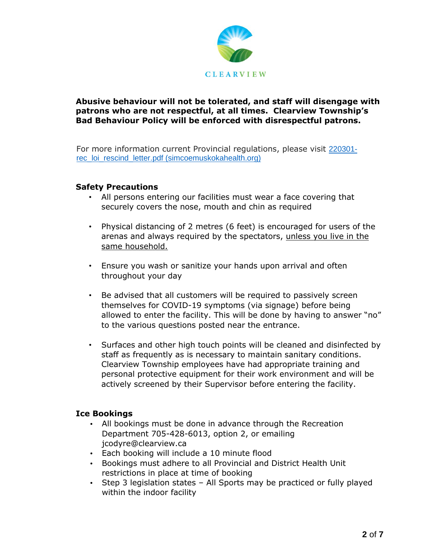

#### **Abusive behaviour will not be tolerated, and staff will disengage with patrons who are not respectful, at all times. Clearview Township's Bad Behaviour Policy will be enforced with disrespectful patrons.**

For more information current Provincial regulations, please visit [220301](https://www.simcoemuskokahealth.org/docs/default-source/COVID-/Partners-and-Municipalities/220301-rec_loi_rescind_letter.pdf?sfvrsn=2) [rec\\_loi\\_rescind\\_letter.pdf \(simcoemuskokahealth.org\)](https://www.simcoemuskokahealth.org/docs/default-source/COVID-/Partners-and-Municipalities/220301-rec_loi_rescind_letter.pdf?sfvrsn=2)

#### **Safety Precautions**

- All persons entering our facilities must wear a face covering that securely covers the nose, mouth and chin as required
- Physical distancing of 2 metres (6 feet) is encouraged for users of the arenas and always required by the spectators, unless you live in the same household.
- Ensure you wash or sanitize your hands upon arrival and often throughout your day
- Be advised that all customers will be required to passively screen themselves for COVID-19 symptoms (via signage) before being allowed to enter the facility. This will be done by having to answer "no" to the various questions posted near the entrance.
- Surfaces and other high touch points will be cleaned and disinfected by staff as frequently as is necessary to maintain sanitary conditions. Clearview Township employees have had appropriate training and personal protective equipment for their work environment and will be actively screened by their Supervisor before entering the facility.

#### **Ice Bookings**

- All bookings must be done in advance through the Recreation Department 705-428-6013, option 2, or emailing jcodyre@clearview.ca
- Each booking will include a 10 minute flood
- Bookings must adhere to all Provincial and District Health Unit restrictions in place at time of booking
- Step 3 legislation states All Sports may be practiced or fully played within the indoor facility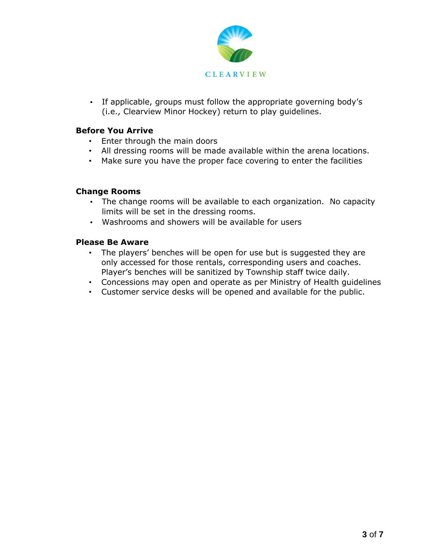

• If applicable, groups must follow the appropriate governing body's (i.e., Clearview Minor Hockey) return to play guidelines.

#### **Before You Arrive**

- Enter through the main doors
- All dressing rooms will be made available within the arena locations.
- Make sure you have the proper face covering to enter the facilities

#### **Change Rooms**

- The change rooms will be available to each organization. No capacity limits will be set in the dressing rooms.
- Washrooms and showers will be available for users

#### **Please Be Aware**

- The players' benches will be open for use but is suggested they are only accessed for those rentals, corresponding users and coaches. Player's benches will be sanitized by Township staff twice daily.
- Concessions may open and operate as per Ministry of Health guidelines
- Customer service desks will be opened and available for the public.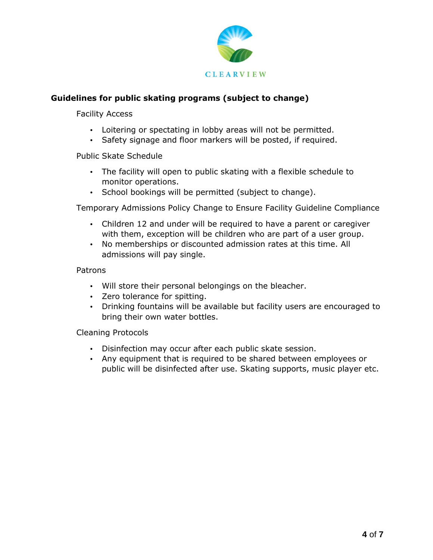

# **Guidelines for public skating programs (subject to change)**

Facility Access

- Loitering or spectating in lobby areas will not be permitted.
- Safety signage and floor markers will be posted, if required.

### Public Skate Schedule

- The facility will open to public skating with a flexible schedule to monitor operations.
- School bookings will be permitted (subject to change).

Temporary Admissions Policy Change to Ensure Facility Guideline Compliance

- Children 12 and under will be required to have a parent or caregiver with them, exception will be children who are part of a user group.
- No memberships or discounted admission rates at this time. All admissions will pay single.

#### Patrons

- Will store their personal belongings on the bleacher.
- Zero tolerance for spitting.
- Drinking fountains will be available but facility users are encouraged to bring their own water bottles.

Cleaning Protocols

- Disinfection may occur after each public skate session.
- Any equipment that is required to be shared between employees or public will be disinfected after use. Skating supports, music player etc.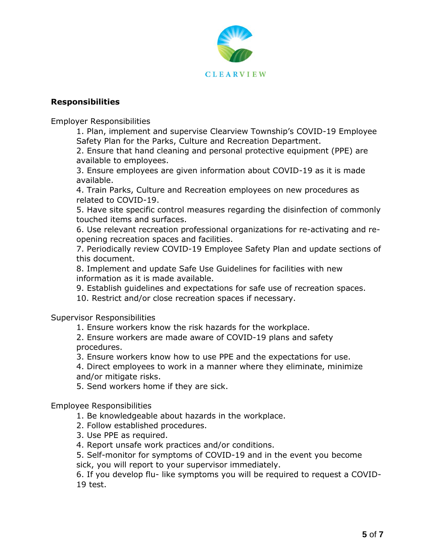

#### **Responsibilities**

Employer Responsibilities

1. Plan, implement and supervise Clearview Township's COVID-19 Employee Safety Plan for the Parks, Culture and Recreation Department.

2. Ensure that hand cleaning and personal protective equipment (PPE) are available to employees.

3. Ensure employees are given information about COVID-19 as it is made available.

4. Train Parks, Culture and Recreation employees on new procedures as related to COVID-19.

5. Have site specific control measures regarding the disinfection of commonly touched items and surfaces.

6. Use relevant recreation professional organizations for re-activating and reopening recreation spaces and facilities.

7. Periodically review COVID-19 Employee Safety Plan and update sections of this document.

8. Implement and update Safe Use Guidelines for facilities with new information as it is made available.

9. Establish guidelines and expectations for safe use of recreation spaces.

10. Restrict and/or close recreation spaces if necessary.

Supervisor Responsibilities

1. Ensure workers know the risk hazards for the workplace.

2. Ensure workers are made aware of COVID-19 plans and safety procedures.

3. Ensure workers know how to use PPE and the expectations for use.

4. Direct employees to work in a manner where they eliminate, minimize and/or mitigate risks.

5. Send workers home if they are sick.

Employee Responsibilities

1. Be knowledgeable about hazards in the workplace.

2. Follow established procedures.

3. Use PPE as required.

4. Report unsafe work practices and/or conditions.

5. Self-monitor for symptoms of COVID-19 and in the event you become sick, you will report to your supervisor immediately.

6. If you develop flu- like symptoms you will be required to request a COVID-19 test.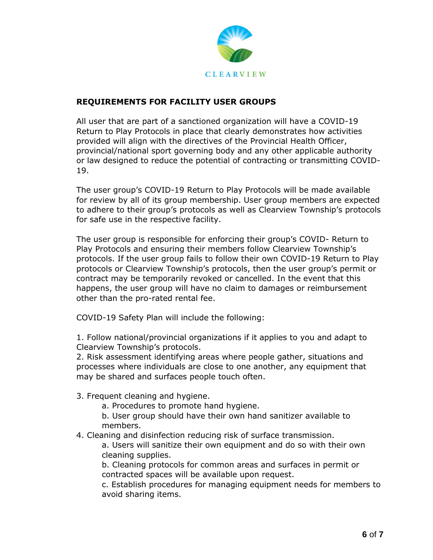

# **REQUIREMENTS FOR FACILITY USER GROUPS**

All user that are part of a sanctioned organization will have a COVID-19 Return to Play Protocols in place that clearly demonstrates how activities provided will align with the directives of the Provincial Health Officer, provincial/national sport governing body and any other applicable authority or law designed to reduce the potential of contracting or transmitting COVID-19.

The user group's COVID-19 Return to Play Protocols will be made available for review by all of its group membership. User group members are expected to adhere to their group's protocols as well as Clearview Township's protocols for safe use in the respective facility.

The user group is responsible for enforcing their group's COVID- Return to Play Protocols and ensuring their members follow Clearview Township's protocols. If the user group fails to follow their own COVID-19 Return to Play protocols or Clearview Township's protocols, then the user group's permit or contract may be temporarily revoked or cancelled. In the event that this happens, the user group will have no claim to damages or reimbursement other than the pro-rated rental fee.

COVID-19 Safety Plan will include the following:

1. Follow national/provincial organizations if it applies to you and adapt to Clearview Township's protocols.

2. Risk assessment identifying areas where people gather, situations and processes where individuals are close to one another, any equipment that may be shared and surfaces people touch often.

3. Frequent cleaning and hygiene.

a. Procedures to promote hand hygiene.

b. User group should have their own hand sanitizer available to members.

4. Cleaning and disinfection reducing risk of surface transmission.

a. Users will sanitize their own equipment and do so with their own cleaning supplies.

b. Cleaning protocols for common areas and surfaces in permit or contracted spaces will be available upon request.

c. Establish procedures for managing equipment needs for members to avoid sharing items.